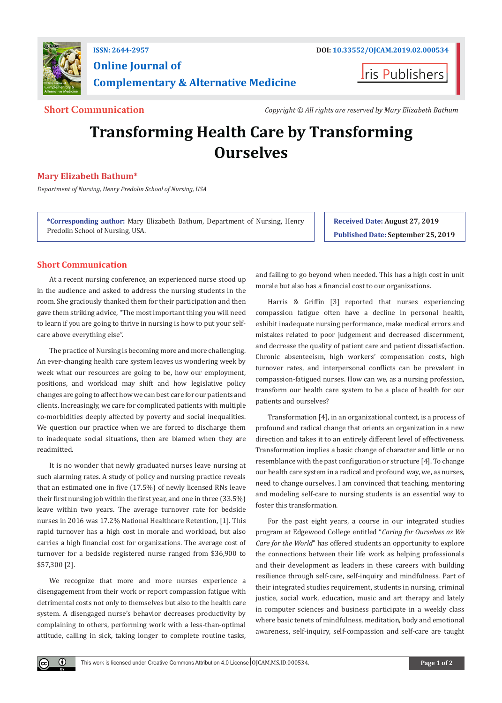

# **Online Journal of Complementary & Alternative Medicine**

**Iris Publishers** 

**Short Communication** *Copyright © All rights are reserved by Mary Elizabeth Bathum*

# **Transforming Health Care by Transforming Ourselves**

### **Mary Elizabeth Bathum\***

*Department of Nursing, Henry Predolin School of Nursing, USA*

**\*Corresponding author:** Mary Elizabeth Bathum, Department of Nursing, Henry Predolin School of Nursing, USA.

**Received Date: August 27, 2019 Published Date: September 25, 2019**

## **Short Communication**

At a recent nursing conference, an experienced nurse stood up in the audience and asked to address the nursing students in the room. She graciously thanked them for their participation and then gave them striking advice, "The most important thing you will need to learn if you are going to thrive in nursing is how to put your selfcare above everything else".

The practice of Nursing is becoming more and more challenging. An ever-changing health care system leaves us wondering week by week what our resources are going to be, how our employment, positions, and workload may shift and how legislative policy changes are going to affect how we can best care for our patients and clients. Increasingly, we care for complicated patients with multiple co-morbidities deeply affected by poverty and social inequalities. We question our practice when we are forced to discharge them to inadequate social situations, then are blamed when they are readmitted.

It is no wonder that newly graduated nurses leave nursing at such alarming rates. A study of policy and nursing practice reveals that an estimated one in five (17.5%) of newly licensed RNs leave their first nursing job within the first year, and one in three (33.5%) leave within two years. The average turnover rate for bedside nurses in 2016 was 17.2% National Healthcare Retention, [1]. This rapid turnover has a high cost in morale and workload, but also carries a high financial cost for organizations. The average cost of turnover for a bedside registered nurse ranged from \$36,900 to \$57,300 [2].

We recognize that more and more nurses experience a disengagement from their work or report compassion fatigue with detrimental costs not only to themselves but also to the health care system. A disengaged nurse's behavior decreases productivity by complaining to others, performing work with a less-than-optimal attitude, calling in sick, taking longer to complete routine tasks,

 $\bf \Theta$ 

and failing to go beyond when needed. This has a high cost in unit morale but also has a financial cost to our organizations.

Harris & Griffin [3] reported that nurses experiencing compassion fatigue often have a decline in personal health, exhibit inadequate nursing performance, make medical errors and mistakes related to poor judgement and decreased discernment, and decrease the quality of patient care and patient dissatisfaction. Chronic absenteeism, high workers' compensation costs, high turnover rates, and interpersonal conflicts can be prevalent in compassion-fatigued nurses. How can we, as a nursing profession, transform our health care system to be a place of health for our patients and ourselves?

Transformation [4], in an organizational context, is a process of profound and radical change that orients an organization in a new direction and takes it to an entirely different level of effectiveness. Transformation implies a basic change of character and little or no resemblance with the past configuration or structure [4]. To change our health care system in a radical and profound way, we, as nurses, need to change ourselves. I am convinced that teaching, mentoring and modeling self-care to nursing students is an essential way to foster this transformation.

For the past eight years, a course in our integrated studies program at Edgewood College entitled "*Caring for Ourselves as We Care for the World*" has offered students an opportunity to explore the connections between their life work as helping professionals and their development as leaders in these careers with building resilience through self-care, self-inquiry and mindfulness. Part of their integrated studies requirement, students in nursing, criminal justice, social work, education, music and art therapy and lately in computer sciences and business participate in a weekly class where basic tenets of mindfulness, meditation, body and emotional awareness, self-inquiry, self-compassion and self-care are taught